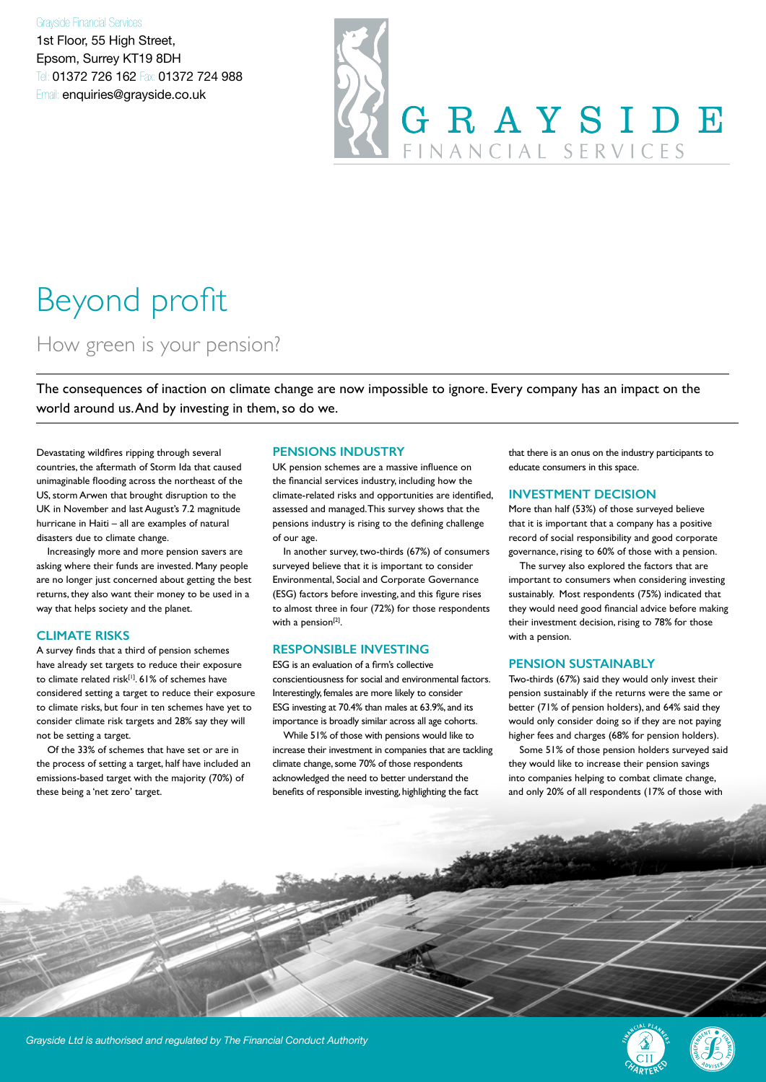#### Grayside Financial Services

1st Floor, 55 High Street, Epsom, Surrey KT19 8DH Tel: 01372 726 162 Fax: 01372 724 988 Email: enquiries@grayside.co.uk

# GRAYSIDE FINANCIAL SERVICES

## Beyond profit

### How green is your pension?

The consequences of inaction on climate change are now impossible to ignore. Every company has an impact on the world around us. And by investing in them, so do we.

Devastating wildfires ripping through several countries, the aftermath of Storm Ida that caused unimaginable flooding across the northeast of the US, storm Arwen that brought disruption to the UK in November and last August's 7.2 magnitude hurricane in Haiti – all are examples of natural disasters due to climate change.

Increasingly more and more pension savers are asking where their funds are invested. Many people are no longer just concerned about getting the best returns, they also want their money to be used in a way that helps society and the planet.

#### **CLIMATE RISKS**

A survey finds that a third of pension schemes have already set targets to reduce their exposure to climate related risk<sup>[1]</sup>. 61% of schemes have considered setting a target to reduce their exposure to climate risks, but four in ten schemes have yet to consider climate risk targets and 28% say they will not be setting a target.

Of the 33% of schemes that have set or are in the process of setting a target, half have included an emissions-based target with the majority (70%) of these being a 'net zero' target.

#### **PENSIONS INDUSTRY**

UK pension schemes are a massive influence on the financial services industry, including how the climate-related risks and opportunities are identified, assessed and managed. This survey shows that the pensions industry is rising to the defining challenge of our age.

In another survey, two-thirds (67%) of consumers surveyed believe that it is important to consider Environmental, Social and Corporate Governance (ESG) factors before investing, and this figure rises to almost three in four (72%) for those respondents with a pension<sup>[2]</sup>.

#### **RESPONSIBLE INVESTING**

ESG is an evaluation of a firm's collective conscientiousness for social and environmental factors. Interestingly, females are more likely to consider ESG investing at 70.4% than males at 63.9%, and its importance is broadly similar across all age cohorts.

While 51% of those with pensions would like to increase their investment in companies that are tackling climate change, some 70% of those respondents acknowledged the need to better understand the benefits of responsible investing, highlighting the fact

that there is an onus on the industry participants to educate consumers in this space.

#### **INVESTMENT DECISION**

More than half (53%) of those surveyed believe that it is important that a company has a positive record of social responsibility and good corporate governance, rising to 60% of those with a pension.

The survey also explored the factors that are important to consumers when considering investing sustainably. Most respondents (75%) indicated that they would need good financial advice before making their investment decision, rising to 78% for those with a pension.

#### **PENSION SUSTAINABLY**

Two-thirds (67%) said they would only invest their pension sustainably if the returns were the same or better (71% of pension holders), and 64% said they would only consider doing so if they are not paying higher fees and charges (68% for pension holders).

Some 51% of those pension holders surveyed said they would like to increase their pension savings into companies helping to combat climate change, and only 20% of all respondents (17% of those with



*Grayside Ltd is authorised and regulated by The Financial Conduct Authority*